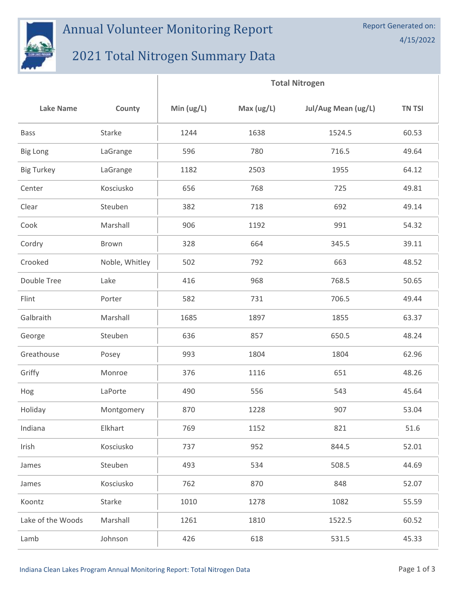## Annual Volunteer Monitoring Report

## 2021 Total Nitrogen Summary Data

 $\mathbf{I}$ 

|                   |                | <b>Total Nitrogen</b> |              |                     |               |
|-------------------|----------------|-----------------------|--------------|---------------------|---------------|
| <b>Lake Name</b>  | County         | Min $(ug/L)$          | Max $(ug/L)$ | Jul/Aug Mean (ug/L) | <b>TN TSI</b> |
| <b>Bass</b>       | Starke         | 1244                  | 1638         | 1524.5              | 60.53         |
| <b>Big Long</b>   | LaGrange       | 596                   | 780          | 716.5               | 49.64         |
| <b>Big Turkey</b> | LaGrange       | 1182                  | 2503         | 1955                | 64.12         |
| Center            | Kosciusko      | 656                   | 768          | 725                 | 49.81         |
| Clear             | Steuben        | 382                   | 718          | 692                 | 49.14         |
| Cook              | Marshall       | 906                   | 1192         | 991                 | 54.32         |
| Cordry            | Brown          | 328                   | 664          | 345.5               | 39.11         |
| Crooked           | Noble, Whitley | 502                   | 792          | 663                 | 48.52         |
| Double Tree       | Lake           | 416                   | 968          | 768.5               | 50.65         |
| Flint             | Porter         | 582                   | 731          | 706.5               | 49.44         |
| Galbraith         | Marshall       | 1685                  | 1897         | 1855                | 63.37         |
| George            | Steuben        | 636                   | 857          | 650.5               | 48.24         |
| Greathouse        | Posey          | 993                   | 1804         | 1804                | 62.96         |
| Griffy            | Monroe         | 376                   | 1116         | 651                 | 48.26         |
| Hog               | LaPorte        | 490                   | 556          | 543                 | 45.64         |
| Holiday           | Montgomery     | 870                   | 1228         | 907                 | 53.04         |
| Indiana           | Elkhart        | 769                   | 1152         | 821                 | 51.6          |
| Irish             | Kosciusko      | 737                   | 952          | 844.5               | 52.01         |
| James             | Steuben        | 493                   | 534          | 508.5               | 44.69         |
| James             | Kosciusko      | 762                   | 870          | 848                 | 52.07         |
| Koontz            | Starke         | 1010                  | 1278         | 1082                | 55.59         |
| Lake of the Woods | Marshall       | 1261                  | 1810         | 1522.5              | 60.52         |
| Lamb              | Johnson        | 426                   | 618          | 531.5               | 45.33         |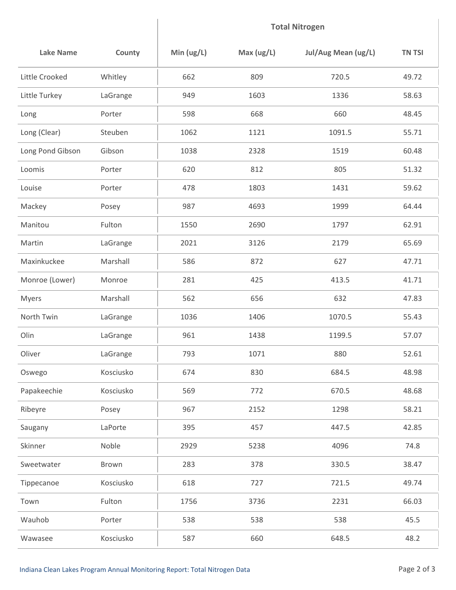## **Total Nitrogen**

| <b>Lake Name</b> | County    | Min $(ug/L)$ | Max $(ug/L)$ | Jul/Aug Mean (ug/L) | <b>TN TSI</b> |
|------------------|-----------|--------------|--------------|---------------------|---------------|
| Little Crooked   | Whitley   | 662          | 809          | 720.5               | 49.72         |
| Little Turkey    | LaGrange  | 949          | 1603         | 1336                | 58.63         |
| Long             | Porter    | 598          | 668          | 660                 | 48.45         |
| Long (Clear)     | Steuben   | 1062         | 1121         | 1091.5              | 55.71         |
| Long Pond Gibson | Gibson    | 1038         | 2328         | 1519                | 60.48         |
| Loomis           | Porter    | 620          | 812          | 805                 | 51.32         |
| Louise           | Porter    | 478          | 1803         | 1431                | 59.62         |
| Mackey           | Posey     | 987          | 4693         | 1999                | 64.44         |
| Manitou          | Fulton    | 1550         | 2690         | 1797                | 62.91         |
| Martin           | LaGrange  | 2021         | 3126         | 2179                | 65.69         |
| Maxinkuckee      | Marshall  | 586          | 872          | 627                 | 47.71         |
| Monroe (Lower)   | Monroe    | 281          | 425          | 413.5               | 41.71         |
| Myers            | Marshall  | 562          | 656          | 632                 | 47.83         |
| North Twin       | LaGrange  | 1036         | 1406         | 1070.5              | 55.43         |
| Olin             | LaGrange  | 961          | 1438         | 1199.5              | 57.07         |
| Oliver           | LaGrange  | 793          | 1071         | 880                 | 52.61         |
| Oswego           | Kosciusko | 674          | 830          | 684.5               | 48.98         |
| Papakeechie      | Kosciusko | 569          | 772          | 670.5               | 48.68         |
| Ribeyre          | Posey     | 967          | 2152         | 1298                | 58.21         |
| Saugany          | LaPorte   | 395          | 457          | 447.5               | 42.85         |
| Skinner          | Noble     | 2929         | 5238         | 4096                | 74.8          |
| Sweetwater       | Brown     | 283          | 378          | 330.5               | 38.47         |
| Tippecanoe       | Kosciusko | 618          | 727          | 721.5               | 49.74         |
| Town             | Fulton    | 1756         | 3736         | 2231                | 66.03         |
| Wauhob           | Porter    | 538          | 538          | 538                 | 45.5          |
| Wawasee          | Kosciusko | 587          | 660          | 648.5               | 48.2          |